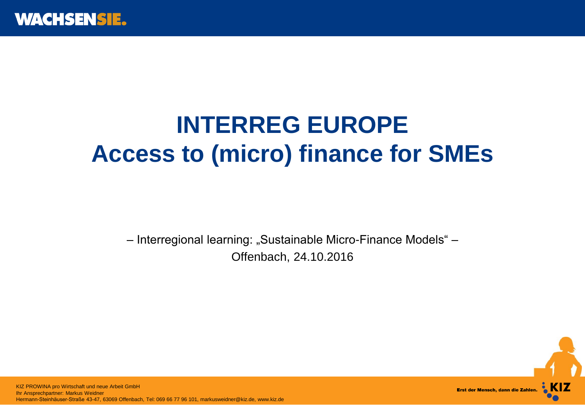

## **INTERREG EUROPE Access to (micro) finance for SMEs**

– Interregional learning: "Sustainable Micro-Finance Models" – Offenbach, 24.10.2016



 KIZ AG Hermann-Steinhäuser-Straße 43-47, 63069 Offenbach, Tel: 069 66 77 96 101, markusweidner@kiz.de, www.kiz.deKIZ PROWINA pro Wirtschaft und neue Arbeit GmbH Ihr Ansprechpartner: Markus Weidner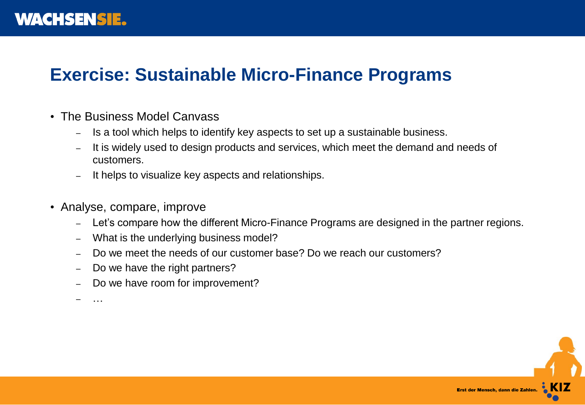## **Exercise: Sustainable Micro-Finance Programs**

- The Business Model Canvass
	- Is a tool which helps to identify key aspects to set up a sustainable business.
	- It is widely used to design products and services, which meet the demand and needs of customers.
	- It helps to visualize key aspects and relationships.
- Analyse, compare, improve
	- Let's compare how the different Micro-Finance Programs are designed in the partner regions.
	- What is the underlying business model?
	- Do we meet the needs of our customer base? Do we reach our customers?
	- Do we have the right partners?
	- Do we have room for improvement?

– …